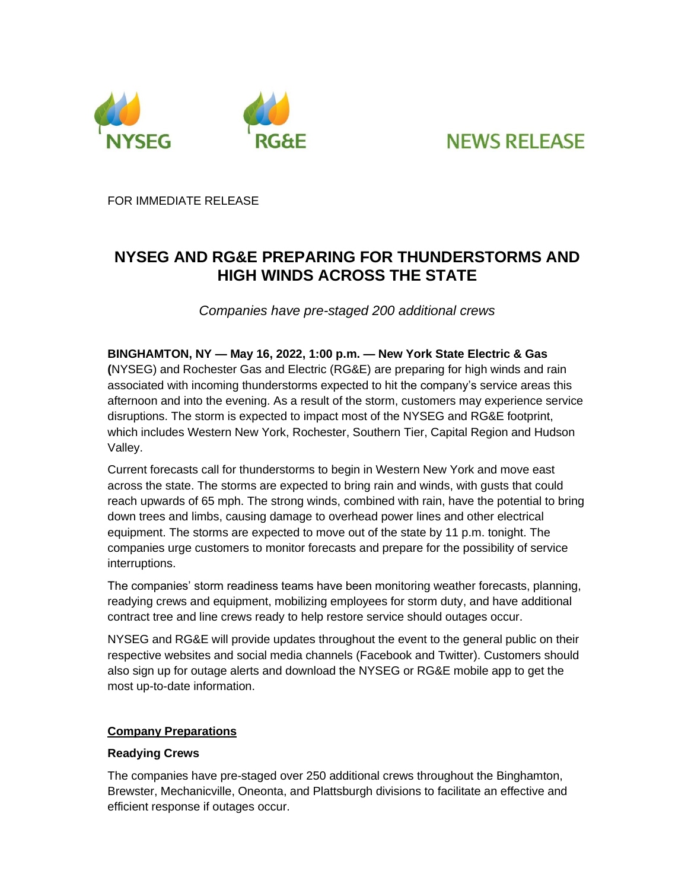

**NEWS RELEASE** 

FOR IMMEDIATE RELEASE

# **NYSEG AND RG&E PREPARING FOR THUNDERSTORMS AND HIGH WINDS ACROSS THE STATE**

*Companies have pre-staged 200 additional crews*

**BINGHAMTON, NY — May 16, 2022, 1:00 p.m. — New York State Electric & Gas (**NYSEG) and Rochester Gas and Electric (RG&E) are preparing for high winds and rain associated with incoming thunderstorms expected to hit the company's service areas this afternoon and into the evening. As a result of the storm, customers may experience service disruptions. The storm is expected to impact most of the NYSEG and RG&E footprint, which includes Western New York, Rochester, Southern Tier, Capital Region and Hudson Valley.

Current forecasts call for thunderstorms to begin in Western New York and move east across the state. The storms are expected to bring rain and winds, with gusts that could reach upwards of 65 mph. The strong winds, combined with rain, have the potential to bring down trees and limbs, causing damage to overhead power lines and other electrical equipment. The storms are expected to move out of the state by 11 p.m. tonight. The companies urge customers to monitor forecasts and prepare for the possibility of service interruptions.

The companies' storm readiness teams have been monitoring weather forecasts, planning, readying crews and equipment, mobilizing employees for storm duty, and have additional contract tree and line crews ready to help restore service should outages occur.

NYSEG and RG&E will provide updates throughout the event to the general public on their respective websites and social media channels (Facebook and Twitter). Customers should also sign up for outage alerts and download the NYSEG or RG&E mobile app to get the most up-to-date information.

#### **Company Preparations**

#### **Readying Crews**

The companies have pre-staged over 250 additional crews throughout the Binghamton, Brewster, Mechanicville, Oneonta, and Plattsburgh divisions to facilitate an effective and efficient response if outages occur.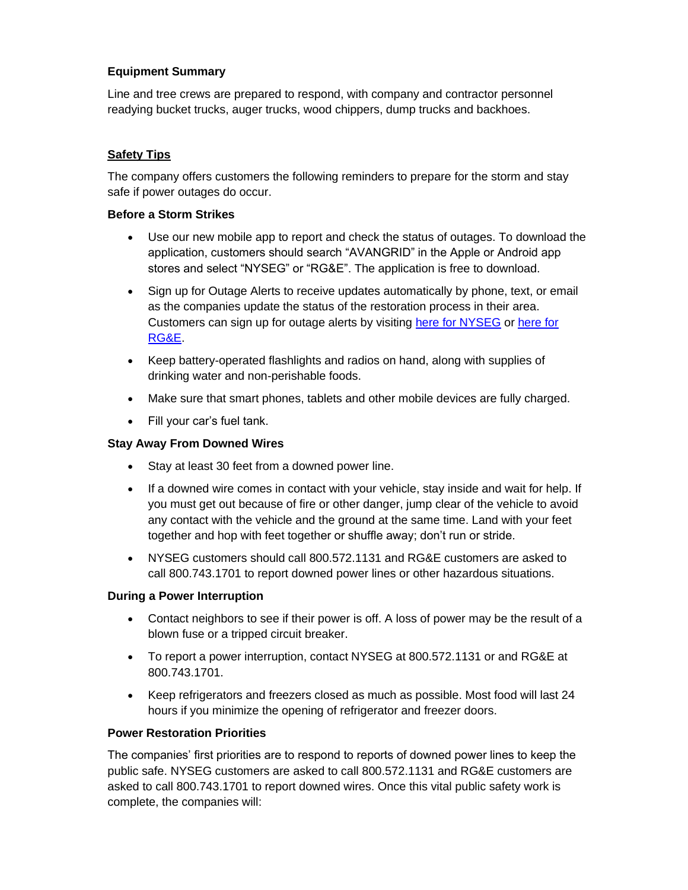### **Equipment Summary**

Line and tree crews are prepared to respond, with company and contractor personnel readying bucket trucks, auger trucks, wood chippers, dump trucks and backhoes.

# **Safety Tips**

The company offers customers the following reminders to prepare for the storm and stay safe if power outages do occur.

#### **Before a Storm Strikes**

- Use our new mobile app to report and check the status of outages. To download the application, customers should search "AVANGRID" in the Apple or Android app stores and select "NYSEG" or "RG&E". The application is free to download.
- Sign up for Outage Alerts to receive updates automatically by phone, text, or email as the companies update the status of the restoration process in their area. Customers can sign up for outage alerts by visiting [here for NYSEG](https://www.nyseg.com/wps/portal/nyseg/outages/!ut/p/z1/pZJbb4JAEIV_jY9kVu48IiEQw6WCFNgXssCCmHIRqbX_vktiYl8U087bJmfmmzlnAUMCuCOXpiZT03fkg71TLGfC2jVt0UCe7_g82qGtpWlRIJgbGeJnAj2UAL_Sjx6Ujpb63wEDLrppmA6Qdt9nWpN6zO43rNCBkpKOK9R_TqSm51k_FE0JKV9WglwWAifnBeFERS25nK9yTqJIEiu50KiyntWx4WaW4290JzN8b28me0hXyEtD09KtIPN-sewby7-x4iX78PPj45m_4O_SjJTtoDya8OaKEF8a-gVR148tSzz8m0G7yAwY6R9e2Qi2S2mz79gcTyess8z7bqLXCZKXQh_aKGpVoeUSdJTqVr1yVvwDGTf8LA!!/?1dmy¤t=true&urile=wcm%3apath%3a%2Fnysegagr_outages%2Foutages%2Fnc_stayinformed%2Foutagealerts%2Foutagealerts) or [here for](https://www.rge.com/wps/portal/rge/outages/stayinformed/outagealerts/)  [RG&E.](https://www.rge.com/wps/portal/rge/outages/stayinformed/outagealerts/)
- Keep battery-operated flashlights and radios on hand, along with supplies of drinking water and non-perishable foods.
- Make sure that smart phones, tablets and other mobile devices are fully charged.
- Fill your car's fuel tank.

### **Stay Away From Downed Wires**

- Stay at least 30 feet from a downed power line.
- If a downed wire comes in contact with your vehicle, stay inside and wait for help. If you must get out because of fire or other danger, jump clear of the vehicle to avoid any contact with the vehicle and the ground at the same time. Land with your feet together and hop with feet together or shuffle away; don't run or stride.
- NYSEG customers should call 800.572.1131 and RG&E customers are asked to call 800.743.1701 to report downed power lines or other hazardous situations.

#### **During a Power Interruption**

- Contact neighbors to see if their power is off. A loss of power may be the result of a blown fuse or a tripped circuit breaker.
- To report a power interruption, contact NYSEG at 800.572.1131 or and RG&E at 800.743.1701.
- Keep refrigerators and freezers closed as much as possible. Most food will last 24 hours if you minimize the opening of refrigerator and freezer doors.

#### **Power Restoration Priorities**

The companies' first priorities are to respond to reports of downed power lines to keep the public safe. NYSEG customers are asked to call 800.572.1131 and RG&E customers are asked to call 800.743.1701 to report downed wires. Once this vital public safety work is complete, the companies will: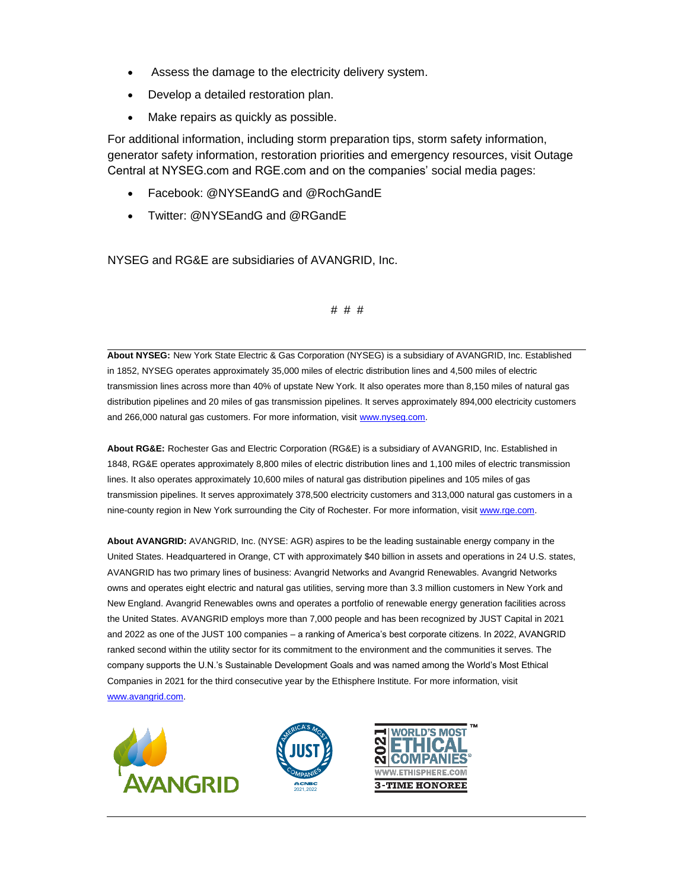- Assess the damage to the electricity delivery system.
- Develop a detailed restoration plan.
- Make repairs as quickly as possible.

For additional information, including storm preparation tips, storm safety information, generator safety information, restoration priorities and emergency resources, visit Outage Central at NYSEG.com and RGE.com and on the companies' social media pages:

- Facebook: @NYSEandG and @RochGandE
- Twitter: @NYSEandG and @RGandE

NYSEG and RG&E are subsidiaries of AVANGRID, Inc.

#### # # #

**About NYSEG:** New York State Electric & Gas Corporation (NYSEG) is a subsidiary of AVANGRID, Inc. Established in 1852, NYSEG operates approximately 35,000 miles of electric distribution lines and 4,500 miles of electric transmission lines across more than 40% of upstate New York. It also operates more than 8,150 miles of natural gas distribution pipelines and 20 miles of gas transmission pipelines. It serves approximately 894,000 electricity customers and 266,000 natural gas customers. For more information, visit www.nyseg.com.

**About RG&E:** Rochester Gas and Electric Corporation (RG&E) is a subsidiary of AVANGRID, Inc. Established in 1848, RG&E operates approximately 8,800 miles of electric distribution lines and 1,100 miles of electric transmission lines. It also operates approximately 10,600 miles of natural gas distribution pipelines and 105 miles of gas transmission pipelines. It serves approximately 378,500 electricity customers and 313,000 natural gas customers in a nine-county region in New York surrounding the City of Rochester. For more information, visit [www.rge.com.](http://www.rge.com/)

**About AVANGRID:** AVANGRID, Inc. (NYSE: AGR) aspires to be the leading sustainable energy company in the United States. Headquartered in Orange, CT with approximately \$40 billion in assets and operations in 24 U.S. states, AVANGRID has two primary lines of business: Avangrid Networks and Avangrid Renewables. Avangrid Networks owns and operates eight electric and natural gas utilities, serving more than 3.3 million customers in New York and New England. Avangrid Renewables owns and operates a portfolio of renewable energy generation facilities across the United States. AVANGRID employs more than 7,000 people and has been recognized by JUST Capital in 2021 and 2022 as one of the JUST 100 companies – a ranking of America's best corporate citizens. In 2022, AVANGRID ranked second within the utility sector for its commitment to the environment and the communities it serves. The company supports the U.N.'s Sustainable Development Goals and was named among the World's Most Ethical Companies in 2021 for the third consecutive year by the Ethisphere Institute. For more information, visit [www.avangrid.com.](http://www.avangrid.com/)